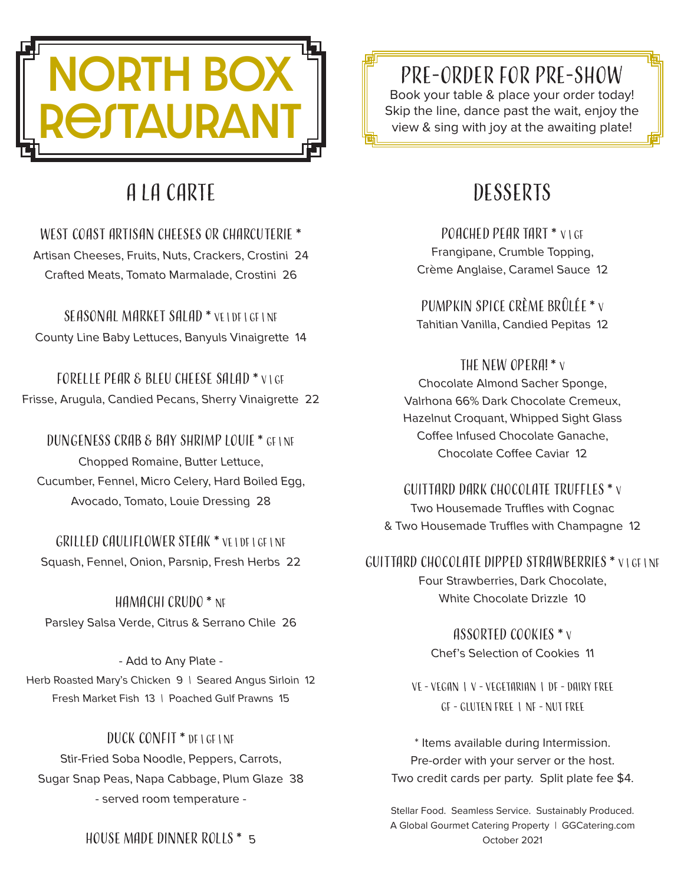

# A La Carte

West Coast Artisan Cheeses or charcuterie \* Artisan Cheeses, Fruits, Nuts, Crackers, Crostini 24 Crafted Meats, Tomato Marmalade, Crostini 26

Seasonal Market Salad \* VE | DF | GF | NF County Line Baby Lettuces, Banyuls Vinaigrette 14

Forelle Pear & Bleu Cheese Salad \* V | GF Frisse, Arugula, Candied Pecans, Sherry Vinaigrette 22

Dungeness Crab & Bay Shrimp Louie \* GF | NF Chopped Romaine, Butter Lettuce, Cucumber, Fennel, Micro Celery, Hard Boiled Egg, Avocado, Tomato, Louie Dressing 28

Grilled Cauliflower Steak \* VE | DF | GF | Nf Squash, Fennel, Onion, Parsnip, Fresh Herbs 22

Hamachi Crudo \* NF Parsley Salsa Verde, Citrus & Serrano Chile 26

- Add to Any Plate - Herb Roasted Mary's Chicken 9 | Seared Angus Sirloin 12 Fresh Market Fish 13 | Poached Gulf Prawns 15

Duck Confit \* DF | GF | Nf Stir-Fried Soba Noodle, Peppers, Carrots, Sugar Snap Peas, Napa Cabbage, Plum Glaze 38 - served room temperature -

House made Dinner Rolls \* 5

## Pre-order for Pre-show

Book your table & place your order today! Skip the line, dance past the wait, enjoy the view & sing with joy at the awaiting plate!

# **DESSERTS**

POACHED PEAR TART \* VIGE Frangipane, Crumble Topping, Crème Anglaise, Caramel Sauce 12

Pumpkin Spice Crème Brûlée \* <sup>V</sup> Tahitian Vanilla, Candied Pepitas 12

THE NEW OPERA! \* v Chocolate Almond Sacher Sponge, Valrhona 66% Dark Chocolate Cremeux, Hazelnut Croquant, Whipped Sight Glass Coffee Infused Chocolate Ganache, Chocolate Coffee Caviar 12

Guittard Dark Chocolate Truffles \* <sup>V</sup> Two Housemade Truffles with Cognac & Two Housemade Truffles with Champagne 12

Guittard Chocolate Dipped Strawberries \* V | GF | NF Four Strawberries, Dark Chocolate, White Chocolate Drizzle 10

> Assorted Cookies \* <sup>V</sup> Chef's Selection of Cookies 11

VE - Vegan | V - Vegetarian | DF - Dairy Free GF - Gluten Free | NF - Nut Free

\* Items available during Intermission. Pre-order with your server or the host. Two credit cards per party. Split plate fee \$4.

Stellar Food. Seamless Service. Sustainably Produced. A Global Gourmet Catering Property | GGCatering.com October 2021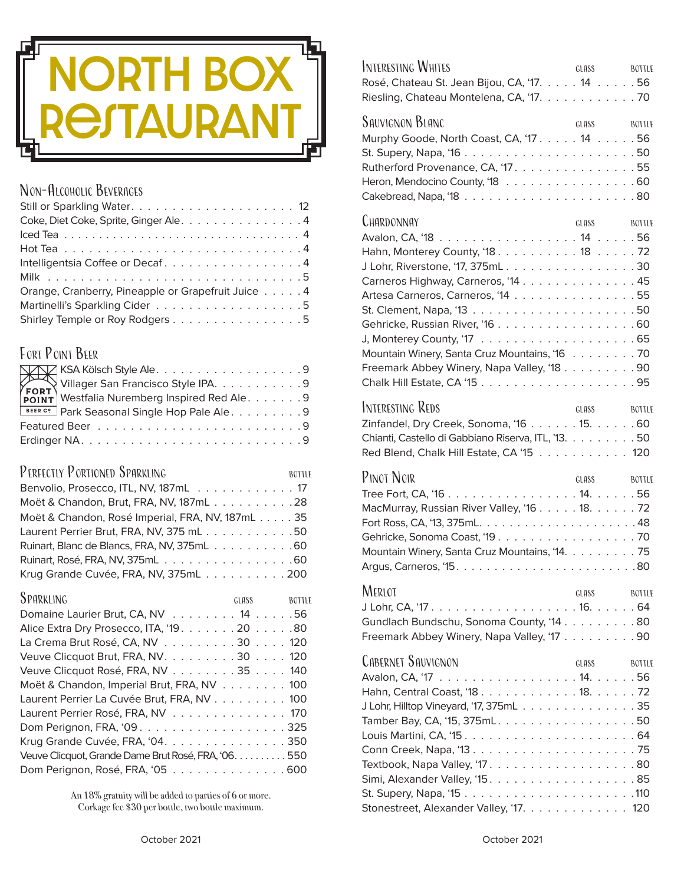

#### NON-ALCOHOLIC BEVERAGES

| Coke, Diet Coke, Sprite, Ginger Ale. 4             |
|----------------------------------------------------|
|                                                    |
|                                                    |
| Intelligentsia Coffee or Decaf4                    |
|                                                    |
| Orange, Cranberry, Pineapple or Grapefruit Juice 4 |
|                                                    |
| Shirley Temple or Roy Rodgers 5                    |

### FORT POINT BEER

| <b>BEER C?</b> Park Seasonal Single Hop Pale Ale. 9 |  |
|-----------------------------------------------------|--|
|                                                     |  |
|                                                     |  |

#### PERFECTLY PORTIONED SPARKLING BOTTLE

| Moët & Chandon, Brut, FRA, NV, 187mL28          |
|-------------------------------------------------|
| Moët & Chandon, Rosé Imperial, FRA, NV, 187mL35 |
| Laurent Perrier Brut, FRA, NV, 375 mL50         |
| Ruinart, Blanc de Blancs, FRA, NV, 375mL60      |
|                                                 |
| Krug Grande Cuvée, FRA, NV, 375mL               |

| SPARKLING                                            | GLASS <b>SECURE 2006</b> | <b>BOTTLE</b> |
|------------------------------------------------------|--------------------------|---------------|
| Domaine Laurier Brut, CA, NV 14 56                   |                          |               |
| Alice Extra Dry Prosecco, ITA, '19. 20 80            |                          |               |
| La Crema Brut Rosé, CA, NV 30 120                    |                          |               |
| Veuve Clicquot Brut, FRA, NV. 30 120                 |                          |               |
| Veuve Clicquot Rosé, FRA, NV 35 140                  |                          |               |
| Moët & Chandon, Imperial Brut, FRA, NV 100           |                          |               |
| Laurent Perrier La Cuvée Brut, FRA, NV 100           |                          |               |
| Laurent Perrier Rosé, FRA, NV 170                    |                          |               |
| Dom Perignon, FRA, '09325                            |                          |               |
| Krug Grande Cuvée, FRA, '04. 350                     |                          |               |
| Veuve Clicquot, Grande Dame Brut Rosé, FRA, '06. 550 |                          |               |
| Dom Perignon, Rosé, FRA, '05 600                     |                          |               |

An 18% gratuity will be added to parties of 6 or more. Corkage fee \$30 per bottle, two bottle maximum.

|       |  | Rosé, Chateau St. Jean Bijou, CA, '17. 14 56<br>Riesling, Chateau Montelena, CA, '17. 70                                                                                                                                                                                                                                                                                                                                                                                                                                                                                                                                                                                                                                                                                                                                                                                                                                     |
|-------|--|------------------------------------------------------------------------------------------------------------------------------------------------------------------------------------------------------------------------------------------------------------------------------------------------------------------------------------------------------------------------------------------------------------------------------------------------------------------------------------------------------------------------------------------------------------------------------------------------------------------------------------------------------------------------------------------------------------------------------------------------------------------------------------------------------------------------------------------------------------------------------------------------------------------------------|
|       |  | GLASS BOTTLE                                                                                                                                                                                                                                                                                                                                                                                                                                                                                                                                                                                                                                                                                                                                                                                                                                                                                                                 |
| GLASS |  | <b>BOTTLE</b>                                                                                                                                                                                                                                                                                                                                                                                                                                                                                                                                                                                                                                                                                                                                                                                                                                                                                                                |
| GLASS |  | <b>BOTTLE</b>                                                                                                                                                                                                                                                                                                                                                                                                                                                                                                                                                                                                                                                                                                                                                                                                                                                                                                                |
|       |  |                                                                                                                                                                                                                                                                                                                                                                                                                                                                                                                                                                                                                                                                                                                                                                                                                                                                                                                              |
| GLASS |  | <b>BOTTLE</b>                                                                                                                                                                                                                                                                                                                                                                                                                                                                                                                                                                                                                                                                                                                                                                                                                                                                                                                |
| GLASS |  | BOTTLE                                                                                                                                                                                                                                                                                                                                                                                                                                                                                                                                                                                                                                                                                                                                                                                                                                                                                                                       |
|       |  | Murphy Goode, North Coast, CA, '17. 14 56<br>Rutherford Provenance, CA, '17. 55<br>Heron, Mendocino County, '18 60<br>Hahn, Monterey County, '18. 18 72<br>J Lohr, Riverstone, '17, 375mL30<br>Carneros Highway, Carneros, '14 45<br>Artesa Carneros, Carneros, '14 55<br>Mountain Winery, Santa Cruz Mountains, '16 70<br>Freemark Abbey Winery, Napa Valley, '18. 90<br>Zinfandel, Dry Creek, Sonoma, '16 15. 60<br>Chianti, Castello di Gabbiano Riserva, ITL, '13. 50<br>Red Blend, Chalk Hill Estate, CA '15 120<br>GLASS BOTTLE<br>MacMurray, Russian River Valley, '16. 18. 72<br>Mountain Winery, Santa Cruz Mountains, '14. 75<br>Gundlach Bundschu, Sonoma County, '14 80<br>Freemark Abbey Winery, Napa Valley, '17 90<br>J Lohr, Hilltop Vineyard, '17, 375mL35<br>Tamber Bay, CA, '15, 375mL50<br>Simi, Alexander Valley, '15. $\dots \dots \dots \dots \dots \dots$<br>Stonestreet, Alexander Valley, '17. 120 |